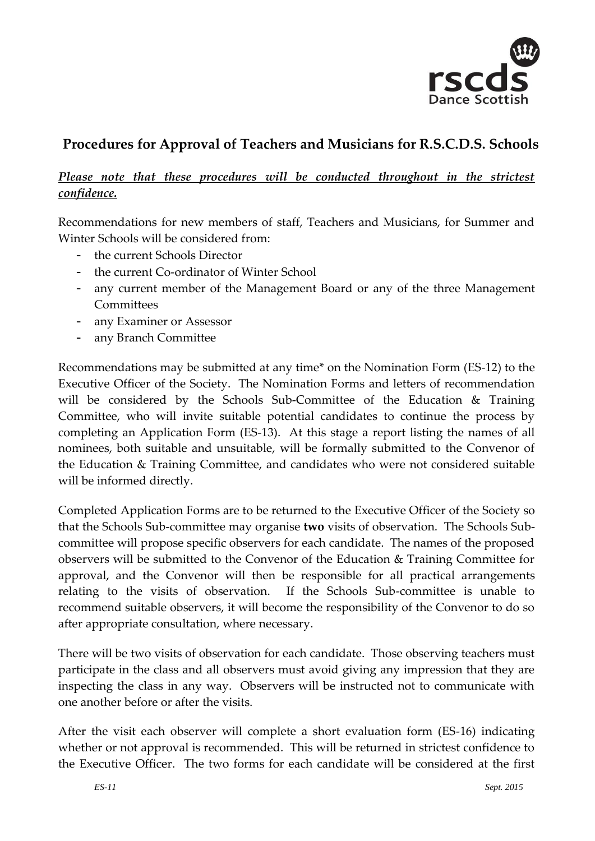

## **Procedures for Approval of Teachers and Musicians for R.S.C.D.S. Schools**

## Please note that these procedures will be conducted throughout in the strictest *confidence.*

Recommendations for new members of staff, Teachers and Musicians, for Summer and Winter Schools will be considered from:

- the current Schools Director
- the current Co-ordinator of Winter School
- any current member of the Management Board or any of the three Management Committees
- any Examiner or Assessor
- any Branch Committee

Recommendations may be submitted at any time\* on the Nomination Form (ES-12) to the Executive Officer of the Society. The Nomination Forms and letters of recommendation will be considered by the Schools Sub-Committee of the Education & Training Committee, who will invite suitable potential candidates to continue the process by completing an Application Form (ES-13). At this stage a report listing the names of all nominees, both suitable and unsuitable, will be formally submitted to the Convenor of the Education & Training Committee, and candidates who were not considered suitable will be informed directly.

Completed Application Forms are to be returned to the Executive Officer of the Society so that the Schools Sub-committee may organise **two** visits of observation. The Schools Subcommittee will propose specific observers for each candidate. The names of the proposed observers will be submitted to the Convenor of the Education & Training Committee for approval, and the Convenor will then be responsible for all practical arrangements relating to the visits of observation. If the Schools Sub-committee is unable to recommend suitable observers, it will become the responsibility of the Convenor to do so after appropriate consultation, where necessary.

There will be two visits of observation for each candidate. Those observing teachers must participate in the class and all observers must avoid giving any impression that they are inspecting the class in any way. Observers will be instructed not to communicate with one another before or after the visits.

After the visit each observer will complete a short evaluation form (ES-16) indicating whether or not approval is recommended. This will be returned in strictest confidence to the Executive Officer. The two forms for each candidate will be considered at the first